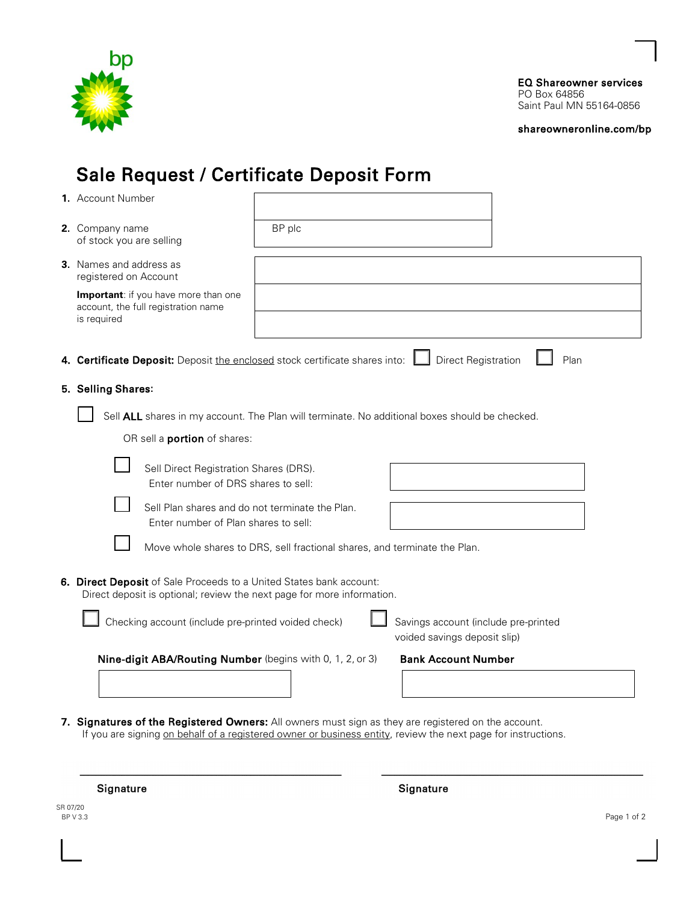

EQ Shareowner services PO Box 64856 Saint Paul MN 55164-0856

[shareowneronline.com/bp](https://shareowneronline.com/bp) 

# Sale Request / Certificate Deposit Form

| 1. Account Number                                                                                                                             |                                                                           |                                                                      |      |
|-----------------------------------------------------------------------------------------------------------------------------------------------|---------------------------------------------------------------------------|----------------------------------------------------------------------|------|
| 2. Company name<br>of stock you are selling                                                                                                   | BP plc                                                                    |                                                                      |      |
| <b>3.</b> Names and address as<br>registered on Account                                                                                       |                                                                           |                                                                      |      |
| Important: if you have more than one<br>account, the full registration name<br>is required                                                    |                                                                           |                                                                      |      |
| 4. Certificate Deposit: Deposit the enclosed stock certificate shares into:                                                                   |                                                                           | <b>Direct Registration</b>                                           | Plan |
| 5. Selling Shares:                                                                                                                            |                                                                           |                                                                      |      |
| Sell ALL shares in my account. The Plan will terminate. No additional boxes should be checked.                                                |                                                                           |                                                                      |      |
| OR sell a <b>portion</b> of shares:                                                                                                           |                                                                           |                                                                      |      |
| Sell Direct Registration Shares (DRS).<br>Enter number of DRS shares to sell:                                                                 |                                                                           |                                                                      |      |
| Sell Plan shares and do not terminate the Plan.<br>Enter number of Plan shares to sell:                                                       |                                                                           |                                                                      |      |
|                                                                                                                                               | Move whole shares to DRS, sell fractional shares, and terminate the Plan. |                                                                      |      |
| 6. Direct Deposit of Sale Proceeds to a United States bank account:<br>Direct deposit is optional; review the next page for more information. |                                                                           |                                                                      |      |
| Checking account (include pre-printed voided check)                                                                                           |                                                                           | Savings account (include pre-printed<br>voided savings deposit slip) |      |
| Nine-digit ABA/Routing Number (begins with 0, 1, 2, or 3)                                                                                     |                                                                           | <b>Bank Account Number</b>                                           |      |
|                                                                                                                                               |                                                                           |                                                                      |      |
|                                                                                                                                               |                                                                           |                                                                      |      |

**7. Signatures of the Registered Owners:** All owners must sign as they are registered on the account. If you are signing on behalf of a registered owner or business entity, review the next page for instructions.

Signature

Signature